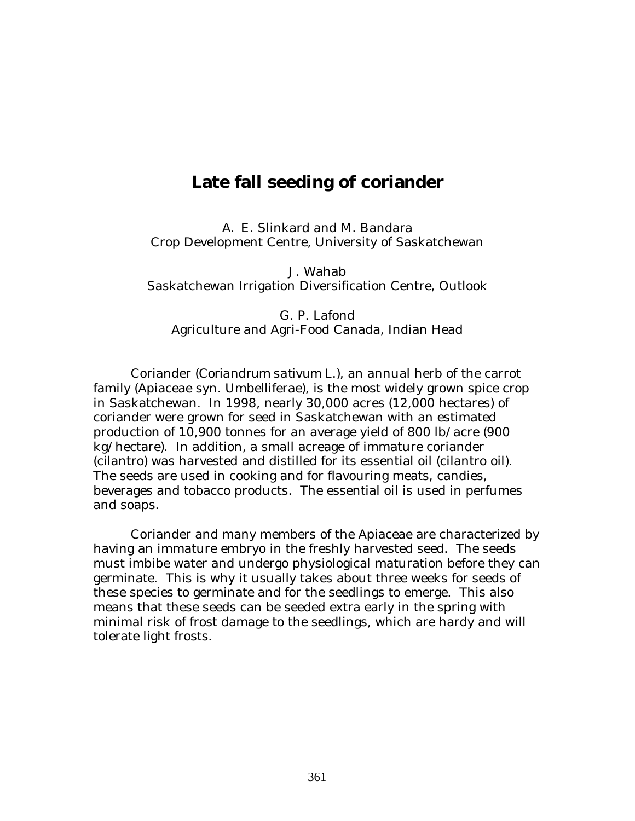## **Late fall seeding of coriander**

A. E. Slinkard and M. Bandara Crop Development Centre, University of Saskatchewan

J. Wahab Saskatchewan Irrigation Diversification Centre, Outlook

G. P. Lafond Agriculture and Agri-Food Canada, Indian Head

Coriander (*Coriandrum sativum* L.), an annual herb of the carrot family (Apiaceae syn. Umbelliferae), is the most widely grown spice crop in Saskatchewan. In 1998, nearly 30,000 acres (12,000 hectares) of coriander were grown for seed in Saskatchewan with an estimated production of 10,900 tonnes for an average yield of 800 lb/acre (900 kg/hectare). In addition, a small acreage of immature coriander (cilantro) was harvested and distilled for its essential oil (cilantro oil). The seeds are used in cooking and for flavouring meats, candies, beverages and tobacco products. The essential oil is used in perfumes and soaps.

Coriander and many members of the Apiaceae are characterized by having an immature embryo in the freshly harvested seed. The seeds must imbibe water and undergo physiological maturation before they can germinate. This is why it usually takes about three weeks for seeds of these species to germinate and for the seedlings to emerge. This also means that these seeds can be seeded extra early in the spring with minimal risk of frost damage to the seedlings, which are hardy and will tolerate light frosts.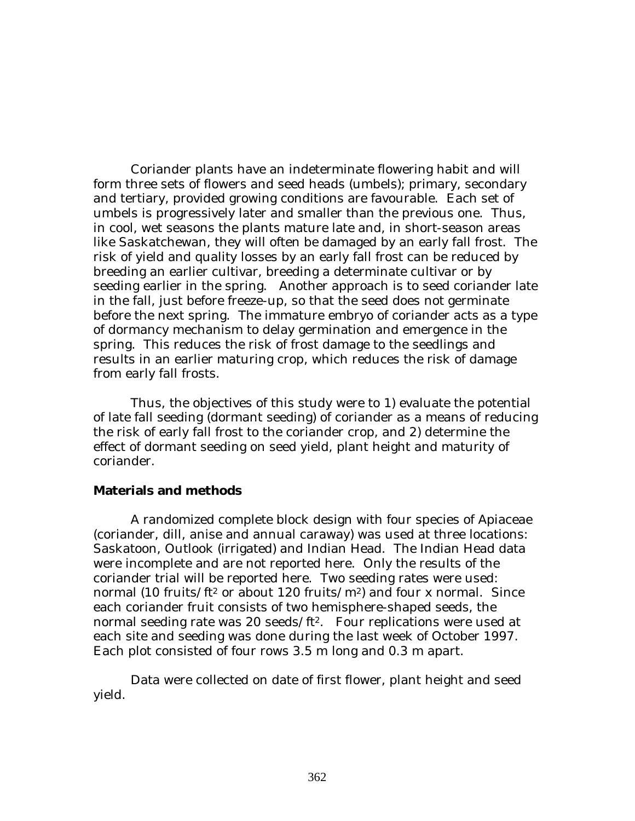Coriander plants have an indeterminate flowering habit and will form three sets of flowers and seed heads (umbels); primary, secondary and tertiary, provided growing conditions are favourable. Each set of umbels is progressively later and smaller than the previous one. Thus, in cool, wet seasons the plants mature late and, in short-season areas like Saskatchewan, they will often be damaged by an early fall frost. The risk of yield and quality losses by an early fall frost can be reduced by breeding an earlier cultivar, breeding a determinate cultivar or by seeding earlier in the spring. Another approach is to seed coriander late in the fall, just before freeze-up, so that the seed does not germinate before the next spring. The immature embryo of coriander acts as a type of dormancy mechanism to delay germination and emergence in the spring. This reduces the risk of frost damage to the seedlings and results in an earlier maturing crop, which reduces the risk of damage from early fall frosts.

Thus, the objectives of this study were to 1) evaluate the potential of late fall seeding (dormant seeding) of coriander as a means of reducing the risk of early fall frost to the coriander crop, and 2) determine the effect of dormant seeding on seed yield, plant height and maturity of coriander.

## **Materials and methods**

A randomized complete block design with four species of Apiaceae (coriander, dill, anise and annual caraway) was used at three locations: Saskatoon, Outlook (irrigated) and Indian Head. The Indian Head data were incomplete and are not reported here. Only the results of the coriander trial will be reported here. Two seeding rates were used: normal (10 fruits/ft<sup>2</sup> or about 120 fruits/ $m^2$ ) and four x normal. Since each coriander fruit consists of two hemisphere-shaped seeds, the normal seeding rate was 20 seeds/ft<sup>2</sup>. Four replications were used at each site and seeding was done during the last week of October 1997. Each plot consisted of four rows 3.5 m long and 0.3 m apart.

Data were collected on date of first flower, plant height and seed yield.